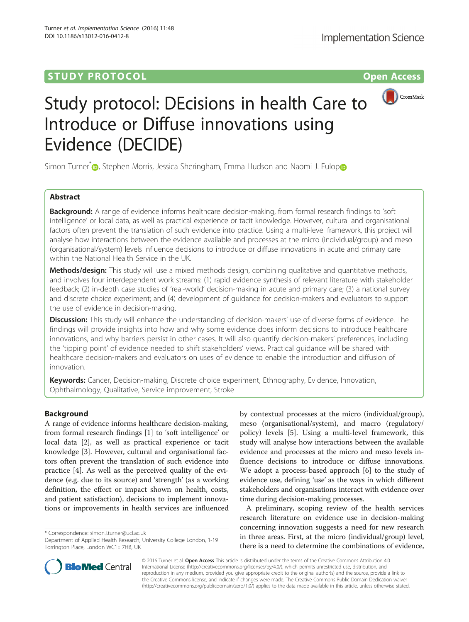

# Study protocol: DEcisions in health Care to Introduce or Diffuse innovations using Evidence (DECIDE)

Simon Turner<sup>[\\*](http://orcid.org/0000-0002-1801-8351)</sup> , Stephen Morris, Jessica Sheringham, Emma Hudson and Naomi J. Fulop<sup>o</sup>

# Abstract

**Background:** A range of evidence informs healthcare decision-making, from formal research findings to 'soft intelligence' or local data, as well as practical experience or tacit knowledge. However, cultural and organisational factors often prevent the translation of such evidence into practice. Using a multi-level framework, this project will analyse how interactions between the evidence available and processes at the micro (individual/group) and meso (organisational/system) levels influence decisions to introduce or diffuse innovations in acute and primary care within the National Health Service in the UK.

Methods/design: This study will use a mixed methods design, combining qualitative and quantitative methods, and involves four interdependent work streams: (1) rapid evidence synthesis of relevant literature with stakeholder feedback; (2) in-depth case studies of 'real-world' decision-making in acute and primary care; (3) a national survey and discrete choice experiment; and (4) development of guidance for decision-makers and evaluators to support the use of evidence in decision-making.

Discussion: This study will enhance the understanding of decision-makers' use of diverse forms of evidence. The findings will provide insights into how and why some evidence does inform decisions to introduce healthcare innovations, and why barriers persist in other cases. It will also quantify decision-makers' preferences, including the 'tipping point' of evidence needed to shift stakeholders' views. Practical guidance will be shared with healthcare decision-makers and evaluators on uses of evidence to enable the introduction and diffusion of innovation.

Keywords: Cancer, Decision-making, Discrete choice experiment, Ethnography, Evidence, Innovation, Ophthalmology, Qualitative, Service improvement, Stroke

# Background

A range of evidence informs healthcare decision-making, from formal research findings [[1\]](#page-6-0) to 'soft intelligence' or local data [\[2](#page-6-0)], as well as practical experience or tacit knowledge [[3\]](#page-6-0). However, cultural and organisational factors often prevent the translation of such evidence into practice [[4\]](#page-6-0). As well as the perceived quality of the evidence (e.g. due to its source) and 'strength' (as a working definition, the effect or impact shown on health, costs, and patient satisfaction), decisions to implement innovations or improvements in health services are influenced

\* Correspondence: [simon.j.turner@ucl.ac.uk](mailto:simon.j.turner@ucl.ac.uk)

by contextual processes at the micro (individual/group), meso (organisational/system), and macro (regulatory/ policy) levels [\[5](#page-6-0)]. Using a multi-level framework, this study will analyse how interactions between the available evidence and processes at the micro and meso levels influence decisions to introduce or diffuse innovations. We adopt a process-based approach [[6\]](#page-6-0) to the study of evidence use, defining 'use' as the ways in which different stakeholders and organisations interact with evidence over time during decision-making processes.

A preliminary, scoping review of the health services research literature on evidence use in decision-making concerning innovation suggests a need for new research in three areas. First, at the micro (individual/group) level, there is a need to determine the combinations of evidence,



© 2016 Turner et al. Open Access This article is distributed under the terms of the Creative Commons Attribution 4.0 International License [\(http://creativecommons.org/licenses/by/4.0/](http://creativecommons.org/licenses/by/4.0/)), which permits unrestricted use, distribution, and reproduction in any medium, provided you give appropriate credit to the original author(s) and the source, provide a link to the Creative Commons license, and indicate if changes were made. The Creative Commons Public Domain Dedication waiver [\(http://creativecommons.org/publicdomain/zero/1.0/](http://creativecommons.org/publicdomain/zero/1.0/)) applies to the data made available in this article, unless otherwise stated.

Department of Applied Health Research, University College London, 1-19 Torrington Place, London WC1E 7HB, UK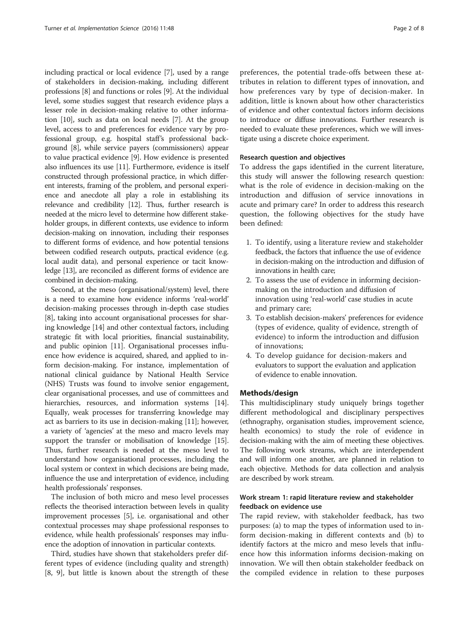including practical or local evidence [\[7](#page-6-0)], used by a range of stakeholders in decision-making, including different professions [\[8\]](#page-6-0) and functions or roles [[9\]](#page-6-0). At the individual level, some studies suggest that research evidence plays a lesser role in decision-making relative to other information [[10](#page-6-0)], such as data on local needs [[7\]](#page-6-0). At the group level, access to and preferences for evidence vary by professional group, e.g. hospital staff's professional background [\[8\]](#page-6-0), while service payers (commissioners) appear to value practical evidence [\[9](#page-6-0)]. How evidence is presented also influences its use [[11](#page-6-0)]. Furthermore, evidence is itself constructed through professional practice, in which different interests, framing of the problem, and personal experience and anecdote all play a role in establishing its relevance and credibility [\[12](#page-6-0)]. Thus, further research is needed at the micro level to determine how different stakeholder groups, in different contexts, use evidence to inform decision-making on innovation, including their responses to different forms of evidence, and how potential tensions between codified research outputs, practical evidence (e.g. local audit data), and personal experience or tacit knowledge [\[13](#page-6-0)], are reconciled as different forms of evidence are combined in decision-making.

Second, at the meso (organisational/system) level, there is a need to examine how evidence informs 'real-world' decision-making processes through in-depth case studies [[8\]](#page-6-0), taking into account organisational processes for sharing knowledge [\[14\]](#page-6-0) and other contextual factors, including strategic fit with local priorities, financial sustainability, and public opinion [[11](#page-6-0)]. Organisational processes influence how evidence is acquired, shared, and applied to inform decision-making. For instance, implementation of national clinical guidance by National Health Service (NHS) Trusts was found to involve senior engagement, clear organisational processes, and use of committees and hierarchies, resources, and information systems [[14](#page-6-0)]. Equally, weak processes for transferring knowledge may act as barriers to its use in decision-making [[11](#page-6-0)]; however, a variety of 'agencies' at the meso and macro levels may support the transfer or mobilisation of knowledge [[15](#page-7-0)]. Thus, further research is needed at the meso level to understand how organisational processes, including the local system or context in which decisions are being made, influence the use and interpretation of evidence, including health professionals' responses.

The inclusion of both micro and meso level processes reflects the theorised interaction between levels in quality improvement processes [\[5\]](#page-6-0), i.e. organisational and other contextual processes may shape professional responses to evidence, while health professionals' responses may influence the adoption of innovation in particular contexts.

Third, studies have shown that stakeholders prefer different types of evidence (including quality and strength) [[8, 9\]](#page-6-0), but little is known about the strength of these

preferences, the potential trade-offs between these attributes in relation to different types of innovation, and how preferences vary by type of decision-maker. In addition, little is known about how other characteristics of evidence and other contextual factors inform decisions to introduce or diffuse innovations. Further research is needed to evaluate these preferences, which we will investigate using a discrete choice experiment.

## Research question and objectives

To address the gaps identified in the current literature, this study will answer the following research question: what is the role of evidence in decision-making on the introduction and diffusion of service innovations in acute and primary care? In order to address this research question, the following objectives for the study have been defined:

- 1. To identify, using a literature review and stakeholder feedback, the factors that influence the use of evidence in decision-making on the introduction and diffusion of innovations in health care;
- 2. To assess the use of evidence in informing decisionmaking on the introduction and diffusion of innovation using 'real-world' case studies in acute and primary care;
- 3. To establish decision-makers' preferences for evidence (types of evidence, quality of evidence, strength of evidence) to inform the introduction and diffusion of innovations;
- 4. To develop guidance for decision-makers and evaluators to support the evaluation and application of evidence to enable innovation.

## Methods/design

This multidisciplinary study uniquely brings together different methodological and disciplinary perspectives (ethnography, organisation studies, improvement science, health economics) to study the role of evidence in decision-making with the aim of meeting these objectives. The following work streams, which are interdependent and will inform one another, are planned in relation to each objective. Methods for data collection and analysis are described by work stream.

## Work stream 1: rapid literature review and stakeholder feedback on evidence use

The rapid review, with stakeholder feedback, has two purposes: (a) to map the types of information used to inform decision-making in different contexts and (b) to identify factors at the micro and meso levels that influence how this information informs decision-making on innovation. We will then obtain stakeholder feedback on the compiled evidence in relation to these purposes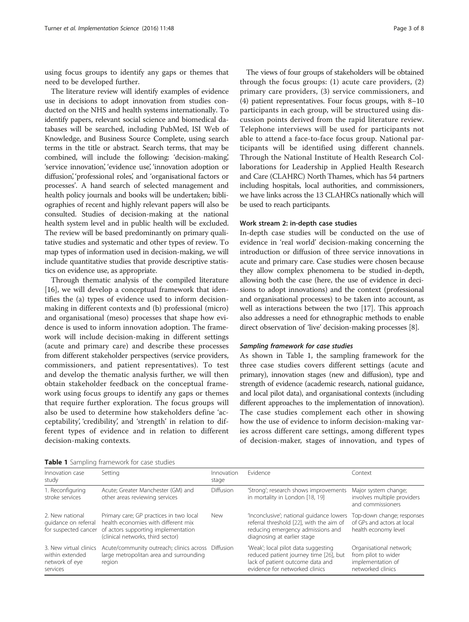using focus groups to identify any gaps or themes that need to be developed further.

The literature review will identify examples of evidence use in decisions to adopt innovation from studies conducted on the NHS and health systems internationally. To identify papers, relevant social science and biomedical databases will be searched, including PubMed, ISI Web of Knowledge, and Business Source Complete, using search terms in the title or abstract. Search terms, that may be combined, will include the following: 'decision-making', 'service innovation', 'evidence use', 'innovation adoption or diffusion', 'professional roles', and 'organisational factors or processes'. A hand search of selected management and health policy journals and books will be undertaken; bibliographies of recent and highly relevant papers will also be consulted. Studies of decision-making at the national health system level and in public health will be excluded. The review will be based predominantly on primary qualitative studies and systematic and other types of review. To map types of information used in decision-making, we will include quantitative studies that provide descriptive statistics on evidence use, as appropriate.

Through thematic analysis of the compiled literature [[16\]](#page-7-0), we will develop a conceptual framework that identifies the (a) types of evidence used to inform decisionmaking in different contexts and (b) professional (micro) and organisational (meso) processes that shape how evidence is used to inform innovation adoption. The framework will include decision-making in different settings (acute and primary care) and describe these processes from different stakeholder perspectives (service providers, commissioners, and patient representatives). To test and develop the thematic analysis further, we will then obtain stakeholder feedback on the conceptual framework using focus groups to identify any gaps or themes that require further exploration. The focus groups will also be used to determine how stakeholders define 'acceptability', 'credibility', and 'strength' in relation to different types of evidence and in relation to different decision-making contexts.

The views of four groups of stakeholders will be obtained through the focus groups: (1) acute care providers, (2) primary care providers, (3) service commissioners, and (4) patient representatives. Four focus groups, with 8–10 participants in each group, will be structured using discussion points derived from the rapid literature review. Telephone interviews will be used for participants not able to attend a face-to-face focus group. National participants will be identified using different channels. Through the National Institute of Health Research Collaborations for Leadership in Applied Health Research and Care (CLAHRC) North Thames, which has 54 partners including hospitals, local authorities, and commissioners, we have links across the 13 CLAHRCs nationally which will be used to reach participants.

#### Work stream 2: in-depth case studies

In-depth case studies will be conducted on the use of evidence in 'real world' decision-making concerning the introduction or diffusion of three service innovations in acute and primary care. Case studies were chosen because they allow complex phenomena to be studied in-depth, allowing both the case (here, the use of evidence in decisions to adopt innovations) and the context (professional and organisational processes) to be taken into account, as well as interactions between the two [[17](#page-7-0)]. This approach also addresses a need for ethnographic methods to enable direct observation of 'live' decision-making processes [\[8](#page-6-0)].

#### Sampling framework for case studies

As shown in Table 1, the sampling framework for the three case studies covers different settings (acute and primary), innovation stages (new and diffusion), type and strength of evidence (academic research, national guidance, and local pilot data), and organisational contexts (including different approaches to the implementation of innovation). The case studies complement each other in showing how the use of evidence to inform decision-making varies across different care settings, among different types of decision-maker, stages of innovation, and types of

| <b>TWAIL E</b> DUITIDITING TIGHTIC MOTHERS CODE DEGRILD                 |                                                                                                                                                            |                     |                                                                                                                                                          |                                                                                          |  |  |
|-------------------------------------------------------------------------|------------------------------------------------------------------------------------------------------------------------------------------------------------|---------------------|----------------------------------------------------------------------------------------------------------------------------------------------------------|------------------------------------------------------------------------------------------|--|--|
| Innovation case<br>study                                                | Setting                                                                                                                                                    | Innovation<br>stage | Fvidence                                                                                                                                                 | Context                                                                                  |  |  |
| 1. Reconfiguring<br>stroke services                                     | Acute; Greater Manchester (GM) and<br>other areas reviewing services                                                                                       | <b>Diffusion</b>    | 'Strong'; research shows improvements<br>in mortality in London [18, 19]                                                                                 | Major system change;<br>involves multiple providers<br>and commissioners                 |  |  |
| 2. New national<br>quidance on referral<br>for suspected cancer         | Primary care; GP practices in two local<br>health economies with different mix<br>of actors supporting implementation<br>(clinical networks, third sector) | New                 | 'Inconclusive'; national quidance lowers<br>referral threshold [22], with the aim of<br>reducing emergency admissions and<br>diagnosing at earlier stage | Top-down change; responses<br>of GPs and actors at local<br>health economy level         |  |  |
| 3. New virtual clinics<br>within extended<br>network of eye<br>services | Acute/community outreach; clinics across Diffusion<br>large metropolitan area and surrounding<br>region                                                    |                     | 'Weak'; local pilot data suggesting<br>reduced patient journey time [26], but<br>lack of patient outcome data and<br>evidence for networked clinics      | Organisational network;<br>from pilot to wider<br>implementation of<br>networked clinics |  |  |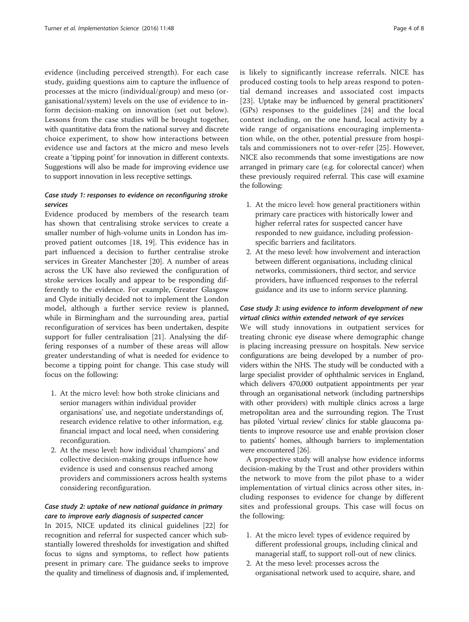evidence (including perceived strength). For each case study, guiding questions aim to capture the influence of processes at the micro (individual/group) and meso (organisational/system) levels on the use of evidence to inform decision-making on innovation (set out below). Lessons from the case studies will be brought together, with quantitative data from the national survey and discrete choice experiment, to show how interactions between evidence use and factors at the micro and meso levels create a 'tipping point' for innovation in different contexts. Suggestions will also be made for improving evidence use to support innovation in less receptive settings.

# Case study 1: responses to evidence on reconfiguring stroke services

Evidence produced by members of the research team has shown that centralising stroke services to create a smaller number of high-volume units in London has improved patient outcomes [\[18, 19\]](#page-7-0). This evidence has in part influenced a decision to further centralise stroke services in Greater Manchester [\[20\]](#page-7-0). A number of areas across the UK have also reviewed the configuration of stroke services locally and appear to be responding differently to the evidence. For example, Greater Glasgow and Clyde initially decided not to implement the London model, although a further service review is planned, while in Birmingham and the surrounding area, partial reconfiguration of services has been undertaken, despite support for fuller centralisation [[21\]](#page-7-0). Analysing the differing responses of a number of these areas will allow greater understanding of what is needed for evidence to become a tipping point for change. This case study will focus on the following:

- 1. At the micro level: how both stroke clinicians and senior managers within individual provider organisations' use, and negotiate understandings of, research evidence relative to other information, e.g. financial impact and local need, when considering reconfiguration.
- 2. At the meso level: how individual 'champions' and collective decision-making groups influence how evidence is used and consensus reached among providers and commissioners across health systems considering reconfiguration.

## Case study 2: uptake of new national guidance in primary care to improve early diagnosis of suspected cancer

In 2015, NICE updated its clinical guidelines [[22\]](#page-7-0) for recognition and referral for suspected cancer which substantially lowered thresholds for investigation and shifted focus to signs and symptoms, to reflect how patients present in primary care. The guidance seeks to improve the quality and timeliness of diagnosis and, if implemented, is likely to significantly increase referrals. NICE has produced costing tools to help areas respond to potential demand increases and associated cost impacts [[23](#page-7-0)]. Uptake may be influenced by general practitioners' (GPs) responses to the guidelines [[24\]](#page-7-0) and the local context including, on the one hand, local activity by a wide range of organisations encouraging implementation while, on the other, potential pressure from hospitals and commissioners not to over-refer [\[25](#page-7-0)]. However, NICE also recommends that some investigations are now arranged in primary care (e.g. for colorectal cancer) when these previously required referral. This case will examine the following:

- 1. At the micro level: how general practitioners within primary care practices with historically lower and higher referral rates for suspected cancer have responded to new guidance, including professionspecific barriers and facilitators.
- 2. At the meso level: how involvement and interaction between different organisations, including clinical networks, commissioners, third sector, and service providers, have influenced responses to the referral guidance and its use to inform service planning.

## Case study 3: using evidence to inform development of new virtual clinics within extended network of eye services

We will study innovations in outpatient services for treating chronic eye disease where demographic change is placing increasing pressure on hospitals. New service configurations are being developed by a number of providers within the NHS. The study will be conducted with a large specialist provider of ophthalmic services in England, which delivers 470,000 outpatient appointments per year through an organisational network (including partnerships with other providers) with multiple clinics across a large metropolitan area and the surrounding region. The Trust has piloted 'virtual review' clinics for stable glaucoma patients to improve resource use and enable provision closer to patients' homes, although barriers to implementation were encountered [\[26\]](#page-7-0).

A prospective study will analyse how evidence informs decision-making by the Trust and other providers within the network to move from the pilot phase to a wider implementation of virtual clinics across other sites, including responses to evidence for change by different sites and professional groups. This case will focus on the following:

- 1. At the micro level: types of evidence required by different professional groups, including clinical and managerial staff, to support roll-out of new clinics.
- 2. At the meso level: processes across the organisational network used to acquire, share, and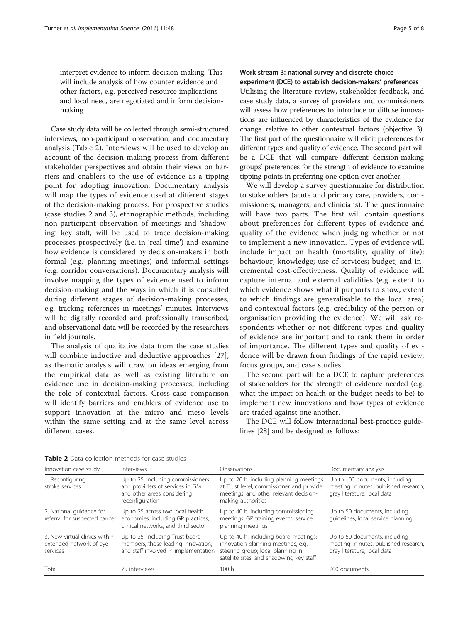interpret evidence to inform decision-making. This will include analysis of how counter evidence and other factors, e.g. perceived resource implications and local need, are negotiated and inform decisionmaking.

Case study data will be collected through semi-structured interviews, non-participant observation, and documentary analysis (Table 2). Interviews will be used to develop an account of the decision-making process from different stakeholder perspectives and obtain their views on barriers and enablers to the use of evidence as a tipping point for adopting innovation. Documentary analysis will map the types of evidence used at different stages of the decision-making process. For prospective studies (case studies 2 and 3), ethnographic methods, including non-participant observation of meetings and 'shadowing' key staff, will be used to trace decision-making processes prospectively (i.e. in 'real time') and examine how evidence is considered by decision-makers in both formal (e.g. planning meetings) and informal settings (e.g. corridor conversations). Documentary analysis will involve mapping the types of evidence used to inform decision-making and the ways in which it is consulted during different stages of decision-making processes, e.g. tracking references in meetings' minutes. Interviews will be digitally recorded and professionally transcribed, and observational data will be recorded by the researchers in field journals.

The analysis of qualitative data from the case studies will combine inductive and deductive approaches [\[27](#page-7-0)], as thematic analysis will draw on ideas emerging from the empirical data as well as existing literature on evidence use in decision-making processes, including the role of contextual factors. Cross-case comparison will identify barriers and enablers of evidence use to support innovation at the micro and meso levels within the same setting and at the same level across different cases.

## Work stream 3: national survey and discrete choice experiment (DCE) to establish decision-makers' preferences

Utilising the literature review, stakeholder feedback, and case study data, a survey of providers and commissioners will assess how preferences to introduce or diffuse innovations are influenced by characteristics of the evidence for change relative to other contextual factors (objective 3). The first part of the questionnaire will elicit preferences for different types and quality of evidence. The second part will be a DCE that will compare different decision-making groups' preferences for the strength of evidence to examine tipping points in preferring one option over another.

We will develop a survey questionnaire for distribution to stakeholders (acute and primary care, providers, commissioners, managers, and clinicians). The questionnaire will have two parts. The first will contain questions about preferences for different types of evidence and quality of the evidence when judging whether or not to implement a new innovation. Types of evidence will include impact on health (mortality, quality of life); behaviour; knowledge; use of services; budget; and incremental cost-effectiveness. Quality of evidence will capture internal and external validities (e.g. extent to which evidence shows what it purports to show, extent to which findings are generalisable to the local area) and contextual factors (e.g. credibility of the person or organisation providing the evidence). We will ask respondents whether or not different types and quality of evidence are important and to rank them in order of importance. The different types and quality of evidence will be drawn from findings of the rapid review, focus groups, and case studies.

The second part will be a DCE to capture preferences of stakeholders for the strength of evidence needed (e.g. what the impact on health or the budget needs to be) to implement new innovations and how types of evidence are traded against one another.

The DCE will follow international best-practice guidelines [[28](#page-7-0)] and be designed as follows:

| <b>Table 2</b> Data collection methods for case studies |  |  |
|---------------------------------------------------------|--|--|
|                                                         |  |  |

| Innovation case study                                                | Interviews                                                                                                             | Observations                                                                                                                                                 | Documentary analysis                                                                                  |
|----------------------------------------------------------------------|------------------------------------------------------------------------------------------------------------------------|--------------------------------------------------------------------------------------------------------------------------------------------------------------|-------------------------------------------------------------------------------------------------------|
| 1. Reconfiguring<br>stroke services                                  | Up to 25, including commissioners<br>and providers of services in GM<br>and other areas considering<br>reconfiguration | Up to 20 h, including planning meetings<br>at Trust level, commissioner and provider<br>meetings, and other relevant decision-<br>making authorities         | Up to 100 documents, including<br>meeting minutes, published research,<br>grey literature, local data |
| 2. National guidance for<br>referral for suspected cancer            | Up to 25 across two local health<br>economies, including GP practices,<br>clinical networks, and third sector          | Up to 40 h, including commissioning<br>meetings, GP training events, service<br>planning meetings                                                            | Up to 50 documents, including<br>quidelines, local service planning                                   |
| 3. New virtual clinics within<br>extended network of eye<br>services | Up to 25, including Trust board<br>members, those leading innovation,<br>and staff involved in implementation          | Up to 40 h, including board meetings;<br>innovation planning meetings, e.g.<br>steering group; local planning in<br>satellite sites; and shadowing key staff | Up to 50 documents, including<br>meeting minutes, published research,<br>grey literature, local data  |
| Total                                                                | 75 interviews                                                                                                          | 100h                                                                                                                                                         | 200 documents                                                                                         |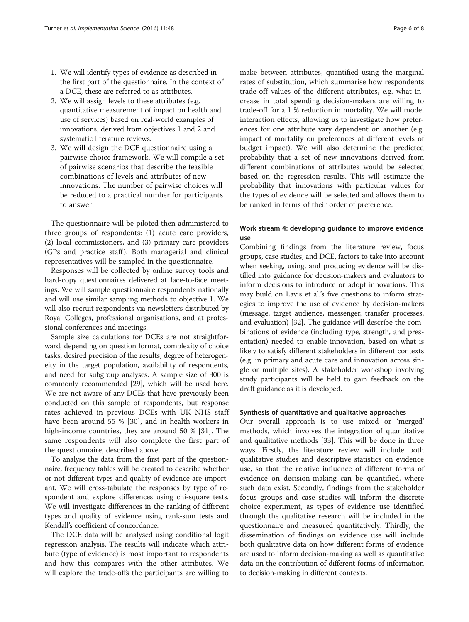- 1. We will identify types of evidence as described in the first part of the questionnaire. In the context of a DCE, these are referred to as attributes.
- 2. We will assign levels to these attributes (e.g. quantitative measurement of impact on health and use of services) based on real-world examples of innovations, derived from objectives 1 and 2 and systematic literature reviews.
- 3. We will design the DCE questionnaire using a pairwise choice framework. We will compile a set of pairwise scenarios that describe the feasible combinations of levels and attributes of new innovations. The number of pairwise choices will be reduced to a practical number for participants to answer.

The questionnaire will be piloted then administered to three groups of respondents: (1) acute care providers, (2) local commissioners, and (3) primary care providers (GPs and practice staff ). Both managerial and clinical representatives will be sampled in the questionnaire.

Responses will be collected by online survey tools and hard-copy questionnaires delivered at face-to-face meetings. We will sample questionnaire respondents nationally and will use similar sampling methods to objective 1. We will also recruit respondents via newsletters distributed by Royal Colleges, professional organisations, and at professional conferences and meetings.

Sample size calculations for DCEs are not straightforward, depending on question format, complexity of choice tasks, desired precision of the results, degree of heterogeneity in the target population, availability of respondents, and need for subgroup analyses. A sample size of 300 is commonly recommended [[29](#page-7-0)], which will be used here. We are not aware of any DCEs that have previously been conducted on this sample of respondents, but response rates achieved in previous DCEs with UK NHS staff have been around 55 % [[30\]](#page-7-0), and in health workers in high-income countries, they are around 50 % [\[31](#page-7-0)]. The same respondents will also complete the first part of the questionnaire, described above.

To analyse the data from the first part of the questionnaire, frequency tables will be created to describe whether or not different types and quality of evidence are important. We will cross-tabulate the responses by type of respondent and explore differences using chi-square tests. We will investigate differences in the ranking of different types and quality of evidence using rank-sum tests and Kendall's coefficient of concordance.

The DCE data will be analysed using conditional logit regression analysis. The results will indicate which attribute (type of evidence) is most important to respondents and how this compares with the other attributes. We will explore the trade-offs the participants are willing to

make between attributes, quantified using the marginal rates of substitution, which summarise how respondents trade-off values of the different attributes, e.g. what increase in total spending decision-makers are willing to trade-off for a 1 % reduction in mortality. We will model interaction effects, allowing us to investigate how preferences for one attribute vary dependent on another (e.g. impact of mortality on preferences at different levels of budget impact). We will also determine the predicted probability that a set of new innovations derived from different combinations of attributes would be selected based on the regression results. This will estimate the probability that innovations with particular values for the types of evidence will be selected and allows them to be ranked in terms of their order of preference.

## Work stream 4: developing guidance to improve evidence use

Combining findings from the literature review, focus groups, case studies, and DCE, factors to take into account when seeking, using, and producing evidence will be distilled into guidance for decision-makers and evaluators to inform decisions to introduce or adopt innovations. This may build on Lavis et al.'s five questions to inform strategies to improve the use of evidence by decision-makers (message, target audience, messenger, transfer processes, and evaluation) [[32](#page-7-0)]. The guidance will describe the combinations of evidence (including type, strength, and presentation) needed to enable innovation, based on what is likely to satisfy different stakeholders in different contexts (e.g. in primary and acute care and innovation across single or multiple sites). A stakeholder workshop involving study participants will be held to gain feedback on the draft guidance as it is developed.

## Synthesis of quantitative and qualitative approaches

Our overall approach is to use mixed or 'merged' methods, which involves the integration of quantitative and qualitative methods [[33\]](#page-7-0). This will be done in three ways. Firstly, the literature review will include both qualitative studies and descriptive statistics on evidence use, so that the relative influence of different forms of evidence on decision-making can be quantified, where such data exist. Secondly, findings from the stakeholder focus groups and case studies will inform the discrete choice experiment, as types of evidence use identified through the qualitative research will be included in the questionnaire and measured quantitatively. Thirdly, the dissemination of findings on evidence use will include both qualitative data on how different forms of evidence are used to inform decision-making as well as quantitative data on the contribution of different forms of information to decision-making in different contexts.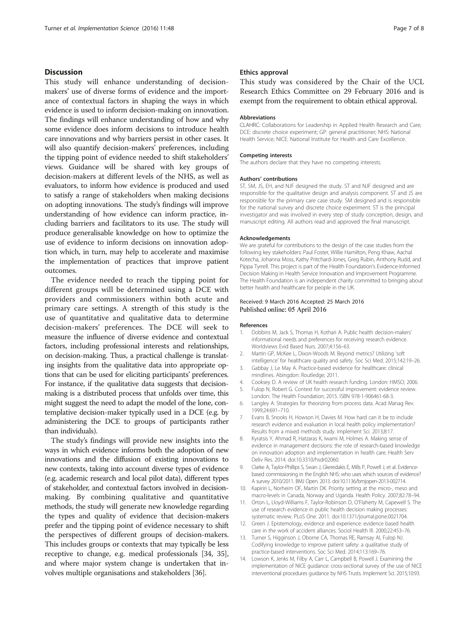## <span id="page-6-0"></span>**Discussion**

This study will enhance understanding of decisionmakers' use of diverse forms of evidence and the importance of contextual factors in shaping the ways in which evidence is used to inform decision-making on innovation. The findings will enhance understanding of how and why some evidence does inform decisions to introduce health care innovations and why barriers persist in other cases. It will also quantify decision-makers' preferences, including the tipping point of evidence needed to shift stakeholders' views. Guidance will be shared with key groups of decision-makers at different levels of the NHS, as well as evaluators, to inform how evidence is produced and used to satisfy a range of stakeholders when making decisions on adopting innovations. The study's findings will improve understanding of how evidence can inform practice, including barriers and facilitators to its use. The study will produce generalisable knowledge on how to optimize the use of evidence to inform decisions on innovation adoption which, in turn, may help to accelerate and maximise the implementation of practices that improve patient outcomes.

The evidence needed to reach the tipping point for different groups will be determined using a DCE with providers and commissioners within both acute and primary care settings. A strength of this study is the use of quantitative and qualitative data to determine decision-makers' preferences. The DCE will seek to measure the influence of diverse evidence and contextual factors, including professional interests and relationships, on decision-making. Thus, a practical challenge is translating insights from the qualitative data into appropriate options that can be used for eliciting participants' preferences. For instance, if the qualitative data suggests that decisionmaking is a distributed process that unfolds over time, this might suggest the need to adapt the model of the lone, contemplative decision-maker typically used in a DCE (e.g. by administering the DCE to groups of participants rather than individuals).

The study's findings will provide new insights into the ways in which evidence informs both the adoption of new innovations and the diffusion of existing innovations to new contexts, taking into account diverse types of evidence (e.g. academic research and local pilot data), different types of stakeholder, and contextual factors involved in decisionmaking. By combining qualitative and quantitative methods, the study will generate new knowledge regarding the types and quality of evidence that decision-makers prefer and the tipping point of evidence necessary to shift the perspectives of different groups of decision-makers. This includes groups or contexts that may typically be less receptive to change, e.g. medical professionals [\[34, 35](#page-7-0)], and where major system change is undertaken that involves multiple organisations and stakeholders [\[36](#page-7-0)].

## Ethics approval

This study was considered by the Chair of the UCL Research Ethics Committee on 29 February 2016 and is exempt from the requirement to obtain ethical approval.

#### Abbreviations

CLAHRC: Collaborations for Leadership in Applied Health Research and Care; DCE: discrete choice experiment; GP: general practitioner; NHS: National Health Service; NICE: National Institute for Health and Care Excellence.

#### Competing interests

The authors declare that they have no competing interests.

#### Authors' contributions

ST, SM, JS, EH, and NJF designed the study. ST and NJF designed and are responsible for the qualitative design and analysis component. ST and JS are responsible for the primary care case study. SM designed and is responsible for the national survey and discrete choice experiment. ST is the principal investigator and was involved in every step of study conception, design, and manuscript editing. All authors read and approved the final manuscript.

#### Acknowledgements

We are grateful for contributions to the design of the case studies from the following key stakeholders: Paul Foster, Willie Hamilton, Peng Khaw, Aachal Kotecha, Johanna Moss, Kathy Pritchard-Jones, Greg Rubin, Anthony Rudd, and Pippa Tyrrell. This project is part of the Health Foundation's Evidence-Informed Decision Making in Health Service Innovation and Improvement Programme. The Health Foundation is an independent charity committed to bringing about better health and healthcare for people in the UK.

#### Received: 9 March 2016 Accepted: 25 March 2016 Published online: 05 April 2016

#### References

- 1. Dobbins M, Jack S, Thomas H, Kothari A. Public health decision-makers' informational needs and preferences for receiving research evidence. Worldviews Evid Based Nurs. 2007;4:156–63.
- 2. Martin GP, McKee L, Dixon-Woods M. Beyond metrics? Utilizing 'soft intelligence' for healthcare quality and safety. Soc Sci Med. 2015;142:19–26.
- 3. Gabbay J, Le May A. Practice-based evidence for healthcare: clinical mindlines. Abingdon: Routledge; 2011.
- 4. Cooksey D. A review of UK health research funding. London: HMSO; 2006.
- 5. Fulop N, Robert G. Context for successful improvement: evidence review. London: The Health Foundation; 2015. ISBN 978-1-906461-68-3.
- 6. Langley A. Strategies for theorizing from process data. Acad Manag Rev. 1999;24:691–710.
- 7. Evans B, Snooks H, Howson H, Davies M. How hard can it be to include research evidence and evaluation in local health policy implementation? Results from a mixed methods study. Implement Sci. 2013;8:17.
- 8. Kyratsis Y, Ahmad R, Hatzaras K, Iwami M, Holmes A. Making sense of evidence in management decisions: the role of research-based knowledge on innovation adoption and implementation in health care. Health Serv Deliv Res. 2014. doi[:10.3310/hsdr02060.](http://dx.doi.org/10.3310/hsdr02060)
- 9. Clarke A, Taylor-Phillips S, Swan J, Gkeredakis E, Mills P, Powell J, et al. Evidencebased commissioning in the English NHS: who uses which sources of evidence? A survey 2010/2011. BMJ Open. 2013. doi:[10.1136/bmjopen-2013-002714.](http://dx.doi.org/10.1136/bmjopen-2013-002714)
- 10. Kapiriri L, Norheim OF, Martin DK. Priority setting at the micro-, meso and macro-levels in Canada, Norway and Uganda. Health Policy. 2007;82:78–94.
- 11. Orton L, Lloyd-Williams F, Taylor-Robinson D, O'Flaherty M, Capewell S. The use of research evidence in public health decision making processes: systematic review. PLoS One. 2011. doi:[10.1371/journal.pone.0021704.](http://dx.doi.org/10.1371/journal.pone.0021704)
- 12. Green J. Epistemology, evidence and experience: evidence based health care in the work of accident alliances. Sociol Health Ill. 2000;22:453–76.
- 13. Turner S, Higginson J, Oborne CA, Thomas RE, Ramsay AI, Fulop NJ. Codifying knowledge to improve patient safety: a qualitative study of practice-based interventions. Soc Sci Med. 2014;113:169–76.
- 14. Lowson K, Jenks M, Filby A, Carr L, Campbell B, Powell J. Examining the implementation of NICE guidance: cross-sectional survey of the use of NICE interventional procedures guidance by NHS Trusts. Implement Sci. 2015;10:93.